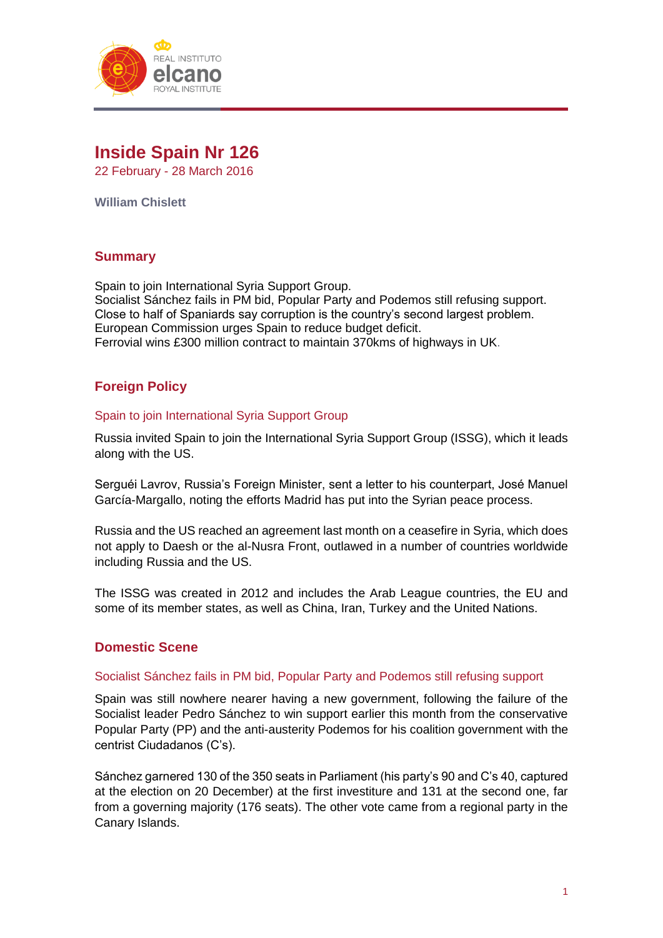

# **Inside Spain Nr 126**

22 February - 28 March 2016

**William Chislett**

# **Summary**

Spain to join International Syria Support Group. Socialist Sánchez fails in PM bid, Popular Party and Podemos still refusing support. Close to half of Spaniards say corruption is the country's second largest problem. European Commission urges Spain to reduce budget deficit. Ferrovial wins £300 million contract to maintain 370kms of highways in UK.

# **Foreign Policy**

#### Spain to join International Syria Support Group

Russia invited Spain to join the International Syria Support Group (ISSG), which it leads along with the US.

Serguéi Lavrov, Russia's Foreign Minister, sent a letter to his counterpart, José Manuel García-Margallo, noting the efforts Madrid has put into the Syrian peace process.

Russia and the US reached an agreement last month on a ceasefire in Syria, which does not apply to Daesh or the al-Nusra Front, outlawed in a number of countries worldwide including Russia and the US.

The ISSG was created in 2012 and includes the Arab League countries, the EU and some of its member states, as well as China, Iran, Turkey and the United Nations.

#### **Domestic Scene**

#### Socialist Sánchez fails in PM bid, Popular Party and Podemos still refusing support

Spain was still nowhere nearer having a new government, following the failure of the Socialist leader Pedro Sánchez to win support earlier this month from the conservative Popular Party (PP) and the anti-austerity Podemos for his coalition government with the centrist Ciudadanos (C's).

Sánchez garnered 130 of the 350 seats in Parliament (his party's 90 and C's 40, captured at the election on 20 December) at the first investiture and 131 at the second one, far from a governing majority (176 seats). The other vote came from a regional party in the Canary Islands.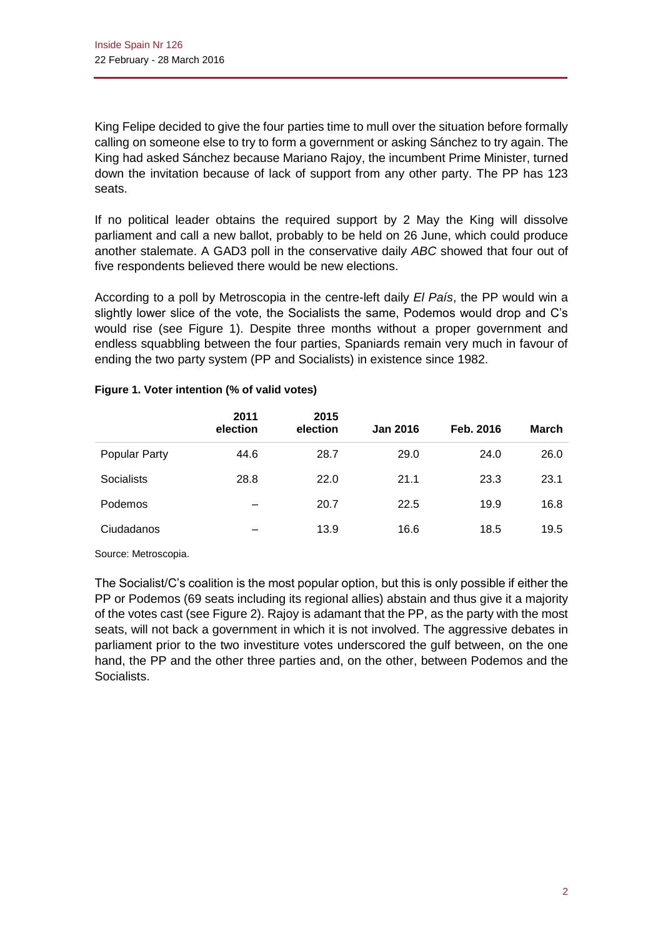King Felipe decided to give the four parties time to mull over the situation before formally calling on someone else to try to form a government or asking Sánchez to try again. The King had asked Sánchez because Mariano Rajoy, the incumbent Prime Minister, turned down the invitation because of lack of support from any other party. The PP has 123 seats.

If no political leader obtains the required support by 2 May the King will dissolve parliament and call a new ballot, probably to be held on 26 June, which could produce another stalemate. A GAD3 poll in the conservative daily *ABC* showed that four out of five respondents believed there would be new elections.

According to a poll by Metroscopia in the centre-left daily *El País*, the PP would win a slightly lower slice of the vote, the Socialists the same, Podemos would drop and C's would rise (see Figure 1). Despite three months without a proper government and endless squabbling between the four parties, Spaniards remain very much in favour of ending the two party system (PP and Socialists) in existence since 1982.

|                      | 2011<br>election | 2015<br>election | <b>Jan 2016</b> | Feb. 2016 | <b>March</b> |
|----------------------|------------------|------------------|-----------------|-----------|--------------|
| <b>Popular Party</b> | 44.6             | 28.7             | 29.0            | 24.0      | 26.0         |
| <b>Socialists</b>    | 28.8             | 22.0             | 21.1            | 23.3      | 23.1         |
| Podemos              | -                | 20.7             | 22.5            | 19.9      | 16.8         |
| Ciudadanos           |                  | 13.9             | 16.6            | 18.5      | 19.5         |

#### **Figure 1. Voter intention (% of valid votes)**

Source: Metroscopia.

The Socialist/C's coalition is the most popular option, but this is only possible if either the PP or Podemos (69 seats including its regional allies) abstain and thus give it a majority of the votes cast (see Figure 2). Rajoy is adamant that the PP, as the party with the most seats, will not back a government in which it is not involved. The aggressive debates in parliament prior to the two investiture votes underscored the gulf between, on the one hand, the PP and the other three parties and, on the other, between Podemos and the Socialists.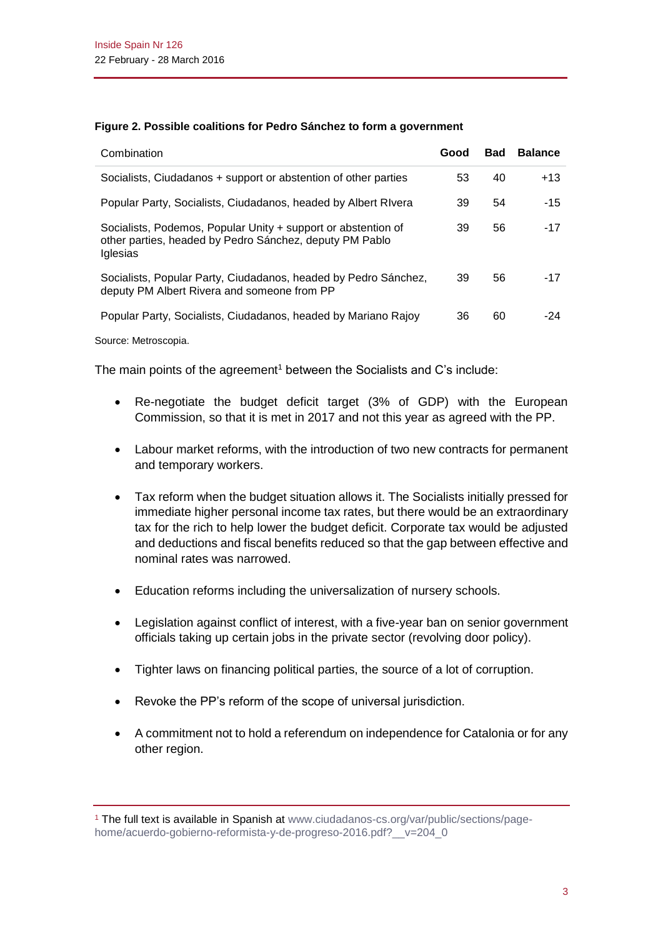|  |  |  | Figure 2. Possible coalitions for Pedro Sánchez to form a government |
|--|--|--|----------------------------------------------------------------------|
|  |  |  |                                                                      |

| Combination                                                                                                                                 | Good | <b>Bad</b> | <b>Balance</b> |
|---------------------------------------------------------------------------------------------------------------------------------------------|------|------------|----------------|
| Socialists, Ciudadanos + support or abstention of other parties                                                                             | 53   | 40         | $+13$          |
| Popular Party, Socialists, Ciudadanos, headed by Albert Rivera                                                                              | 39   | 54         | $-15$          |
| Socialists, Podemos, Popular Unity + support or abstention of<br>other parties, headed by Pedro Sánchez, deputy PM Pablo<br><b>Iglesias</b> | 39   | 56         | $-17$          |
| Socialists, Popular Party, Ciudadanos, headed by Pedro Sánchez,<br>deputy PM Albert Rivera and someone from PP                              | 39   | 56         | $-17$          |
| Popular Party, Socialists, Ciudadanos, headed by Mariano Rajoy                                                                              | 36   | 60         | -24            |

Source: Metroscopia.

The main points of the agreement<sup>1</sup> between the Socialists and C's include:

- Re-negotiate the budget deficit target (3% of GDP) with the European Commission, so that it is met in 2017 and not this year as agreed with the PP.
- Labour market reforms, with the introduction of two new contracts for permanent and temporary workers.
- Tax reform when the budget situation allows it. The Socialists initially pressed for immediate higher personal income tax rates, but there would be an extraordinary tax for the rich to help lower the budget deficit. Corporate tax would be adjusted and deductions and fiscal benefits reduced so that the gap between effective and nominal rates was narrowed.
- Education reforms including the universalization of nursery schools.
- Legislation against conflict of interest, with a five-year ban on senior government officials taking up certain jobs in the private sector (revolving door policy).
- Tighter laws on financing political parties, the source of a lot of corruption.
- Revoke the PP's reform of the scope of universal jurisdiction.
- A commitment not to hold a referendum on independence for Catalonia or for any other region.

<sup>1</sup> The full text is available in Spanish at [www.ciudadanos-cs.org/var/public/sections/page](http://www.ciudadanos-cs.org/var/public/sections/page-home/acuerdo-gobierno-reformista-y-de-progreso-2016.pdf?__v=204_0)[home/acuerdo-gobierno-reformista-y-de-progreso-2016.pdf?\\_\\_v=204\\_0](http://www.ciudadanos-cs.org/var/public/sections/page-home/acuerdo-gobierno-reformista-y-de-progreso-2016.pdf?__v=204_0)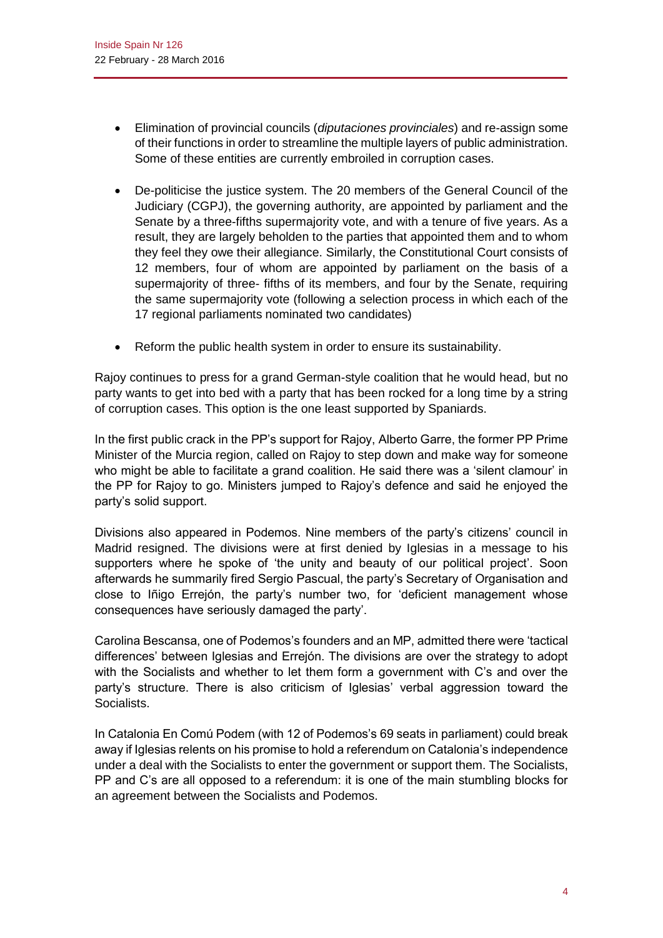- Elimination of provincial councils (*diputaciones provinciales*) and re-assign some of their functions in order to streamline the multiple layers of public administration. Some of these entities are currently embroiled in corruption cases.
- De-politicise the justice system. The 20 members of the General Council of the Judiciary (CGPJ), the governing authority, are appointed by parliament and the Senate by a three-fifths supermajority vote, and with a tenure of five years. As a result, they are largely beholden to the parties that appointed them and to whom they feel they owe their allegiance. Similarly, the Constitutional Court consists of 12 members, four of whom are appointed by parliament on the basis of a supermajority of three- fifths of its members, and four by the Senate, requiring the same supermajority vote (following a selection process in which each of the 17 regional parliaments nominated two candidates)
- Reform the public health system in order to ensure its sustainability.

Rajoy continues to press for a grand German-style coalition that he would head, but no party wants to get into bed with a party that has been rocked for a long time by a string of corruption cases. This option is the one least supported by Spaniards.

In the first public crack in the PP's support for Rajoy, Alberto Garre, the former PP Prime Minister of the Murcia region, called on Rajoy to step down and make way for someone who might be able to facilitate a grand coalition. He said there was a 'silent clamour' in the PP for Rajoy to go. Ministers jumped to Rajoy's defence and said he enjoyed the party's solid support.

Divisions also appeared in Podemos. Nine members of the party's citizens' council in Madrid resigned. The divisions were at first denied by Iglesias in a message to his supporters where he spoke of 'the unity and beauty of our political project'. Soon afterwards he summarily fired Sergio Pascual, the party's Secretary of Organisation and close to Iñigo Errejón, the party's number two, for 'deficient management whose consequences have seriously damaged the party'.

Carolina Bescansa, one of Podemos's founders and an MP, admitted there were 'tactical differences' between Iglesias and Errejón. The divisions are over the strategy to adopt with the Socialists and whether to let them form a government with C's and over the party's structure. There is also criticism of Iglesias' verbal aggression toward the Socialists.

In Catalonia En Comú Podem (with 12 of Podemos's 69 seats in parliament) could break away if Iglesias relents on his promise to hold a referendum on Catalonia's independence under a deal with the Socialists to enter the government or support them. The Socialists, PP and C's are all opposed to a referendum: it is one of the main stumbling blocks for an agreement between the Socialists and Podemos.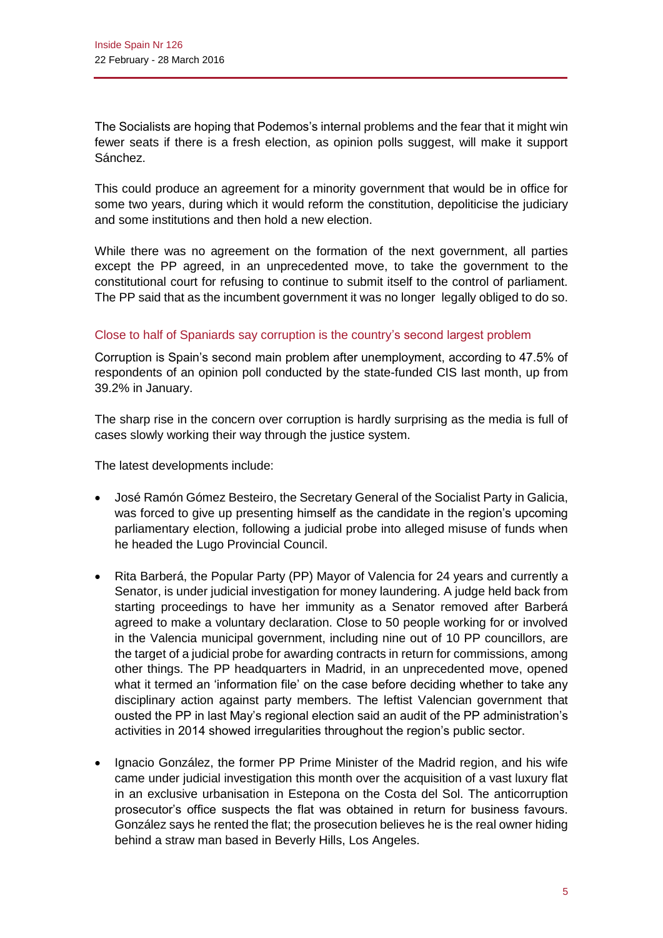The Socialists are hoping that Podemos's internal problems and the fear that it might win fewer seats if there is a fresh election, as opinion polls suggest, will make it support Sánchez.

This could produce an agreement for a minority government that would be in office for some two years, during which it would reform the constitution, depoliticise the judiciary and some institutions and then hold a new election.

While there was no agreement on the formation of the next government, all parties except the PP agreed, in an unprecedented move, to take the government to the constitutional court for refusing to continue to submit itself to the control of parliament. The PP said that as the incumbent government it was no longer legally obliged to do so.

# Close to half of Spaniards say corruption is the country's second largest problem

Corruption is Spain's second main problem after unemployment, according to 47.5% of respondents of an opinion poll conducted by the state-funded CIS last month, up from 39.2% in January.

The sharp rise in the concern over corruption is hardly surprising as the media is full of cases slowly working their way through the justice system.

The latest developments include:

- José Ramón Gómez Besteiro, the Secretary General of the Socialist Party in Galicia, was forced to give up presenting himself as the candidate in the region's upcoming parliamentary election, following a judicial probe into alleged misuse of funds when he headed the Lugo Provincial Council.
- Rita Barberá, the Popular Party (PP) Mayor of Valencia for 24 years and currently a Senator, is under judicial investigation for money laundering. A judge held back from starting proceedings to have her immunity as a Senator removed after Barberá agreed to make a voluntary declaration. Close to 50 people working for or involved in the Valencia municipal government, including nine out of 10 PP councillors, are the target of a judicial probe for awarding contracts in return for commissions, among other things. The PP headquarters in Madrid, in an unprecedented move, opened what it termed an 'information file' on the case before deciding whether to take any disciplinary action against party members. The leftist Valencian government that ousted the PP in last May's regional election said an audit of the PP administration's activities in 2014 showed irregularities throughout the region's public sector.
- Ignacio González, the former PP Prime Minister of the Madrid region, and his wife came under judicial investigation this month over the acquisition of a vast luxury flat in an exclusive urbanisation in Estepona on the Costa del Sol. The anticorruption prosecutor's office suspects the flat was obtained in return for business favours. González says he rented the flat; the prosecution believes he is the real owner hiding behind a straw man based in Beverly Hills, Los Angeles.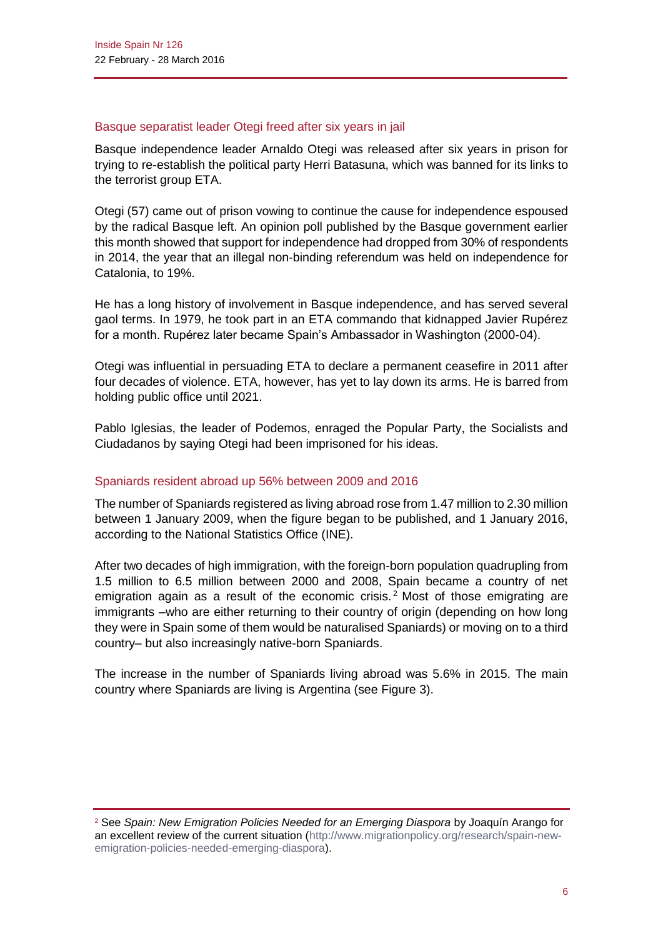#### Basque separatist leader Otegi freed after six years in jail

Basque independence leader Arnaldo Otegi was released after six years in prison for trying to re-establish the political party Herri Batasuna, which was banned for its links to the terrorist group ETA.

Otegi (57) came out of prison vowing to continue the cause for independence espoused by the radical Basque left. An opinion poll published by the Basque government earlier this month showed that support for independence had dropped from 30% of respondents in 2014, the year that an illegal non-binding referendum was held on independence for Catalonia, to 19%.

He has a long history of involvement in Basque independence, and has served several gaol terms. In 1979, he took part in an ETA commando that kidnapped Javier Rupérez for a month. Rupérez later became Spain's Ambassador in Washington (2000-04).

Otegi was influential in persuading ETA to declare a permanent ceasefire in 2011 after four decades of violence. ETA, however, has yet to lay down its arms. He is barred from holding public office until 2021.

Pablo Iglesias, the leader of Podemos, enraged the Popular Party, the Socialists and Ciudadanos by saying Otegi had been imprisoned for his ideas.

#### Spaniards resident abroad up 56% between 2009 and 2016

The number of Spaniards registered as living abroad rose from 1.47 million to 2.30 million between 1 January 2009, when the figure began to be published, and 1 January 2016, according to the National Statistics Office (INE).

After two decades of high immigration, with the foreign-born population quadrupling from 1.5 million to 6.5 million between 2000 and 2008, Spain became a country of net emigration again as a result of the economic crisis.<sup>2</sup> Most of those emigrating are immigrants –who are either returning to their country of origin (depending on how long they were in Spain some of them would be naturalised Spaniards) or moving on to a third country– but also increasingly native-born Spaniards.

The increase in the number of Spaniards living abroad was 5.6% in 2015. The main country where Spaniards are living is Argentina (see Figure 3).

<sup>2</sup> See *Spain: New Emigration Policies Needed for an Emerging Diaspora* by Joaquín Arango for an excellent review of the current situation [\(http://www.migrationpolicy.org/research/spain-new](http://www.migrationpolicy.org/research/spain-new-emigration-policies-needed-emerging-diaspora)[emigration-policies-needed-emerging-diaspora\)](http://www.migrationpolicy.org/research/spain-new-emigration-policies-needed-emerging-diaspora).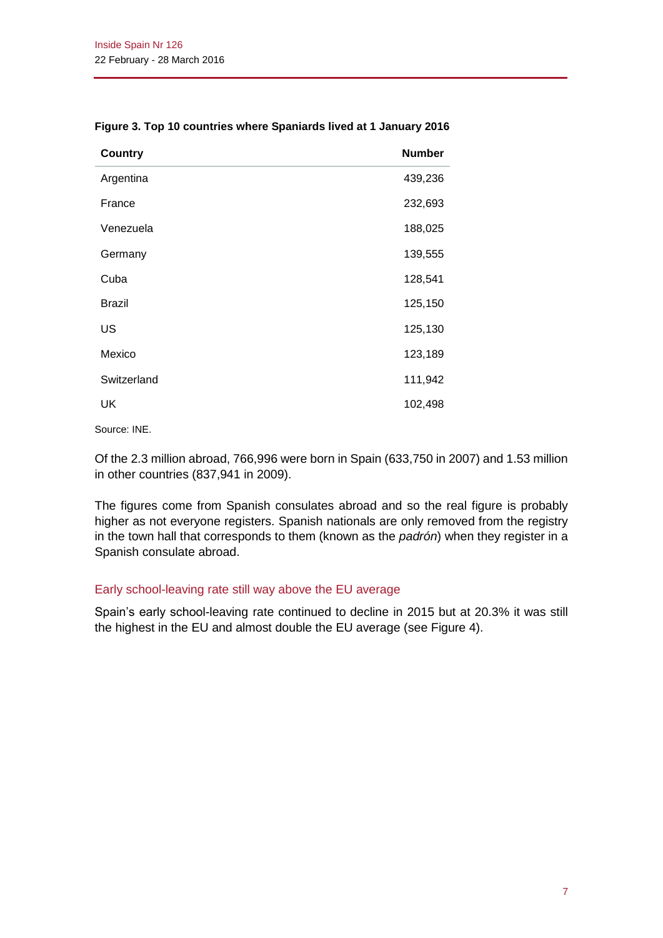| <b>Country</b> | <b>Number</b> |
|----------------|---------------|
| Argentina      | 439,236       |
| France         | 232,693       |
| Venezuela      | 188,025       |
| Germany        | 139,555       |
| Cuba           | 128,541       |
| <b>Brazil</b>  | 125,150       |
| US             | 125,130       |
| Mexico         | 123,189       |
| Switzerland    | 111,942       |
| UK             | 102,498       |

#### **Figure 3. Top 10 countries where Spaniards lived at 1 January 2016**

Source: INE.

Of the 2.3 million abroad, 766,996 were born in Spain (633,750 in 2007) and 1.53 million in other countries (837,941 in 2009).

The figures come from Spanish consulates abroad and so the real figure is probably higher as not everyone registers. Spanish nationals are only removed from the registry in the town hall that corresponds to them (known as the *padrón*) when they register in a Spanish consulate abroad.

#### Early school-leaving rate still way above the EU average

Spain's early school-leaving rate continued to decline in 2015 but at 20.3% it was still the highest in the EU and almost double the EU average (see Figure 4).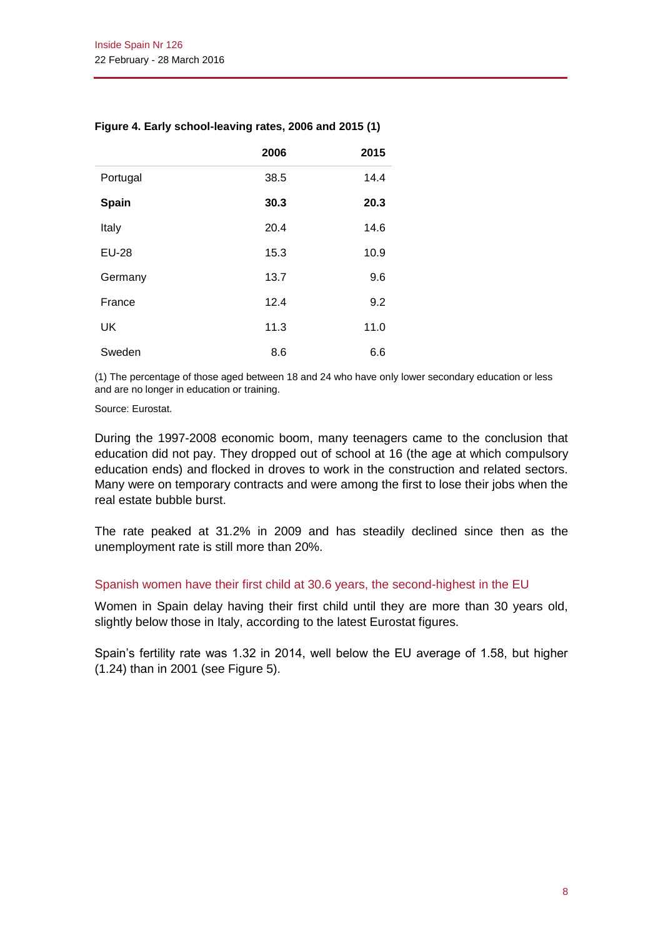|              | 2006 | 2015 |
|--------------|------|------|
| Portugal     | 38.5 | 14.4 |
| Spain        | 30.3 | 20.3 |
| Italy        | 20.4 | 14.6 |
| <b>EU-28</b> | 15.3 | 10.9 |
| Germany      | 13.7 | 9.6  |
| France       | 12.4 | 9.2  |
| <b>UK</b>    | 11.3 | 11.0 |
| Sweden       | 8.6  | 6.6  |

#### **Figure 4. Early school-leaving rates, 2006 and 2015 (1)**

(1) The percentage of those aged between 18 and 24 who have only lower secondary education or less and are no longer in education or training.

#### Source: Eurostat.

During the 1997-2008 economic boom, many teenagers came to the conclusion that education did not pay. They dropped out of school at 16 (the age at which compulsory education ends) and flocked in droves to work in the construction and related sectors. Many were on temporary contracts and were among the first to lose their jobs when the real estate bubble burst.

The rate peaked at 31.2% in 2009 and has steadily declined since then as the unemployment rate is still more than 20%.

#### Spanish women have their first child at 30.6 years, the second-highest in the EU

Women in Spain delay having their first child until they are more than 30 years old, slightly below those in Italy, according to the latest Eurostat figures.

Spain's fertility rate was 1.32 in 2014, well below the EU average of 1.58, but higher (1.24) than in 2001 (see Figure 5).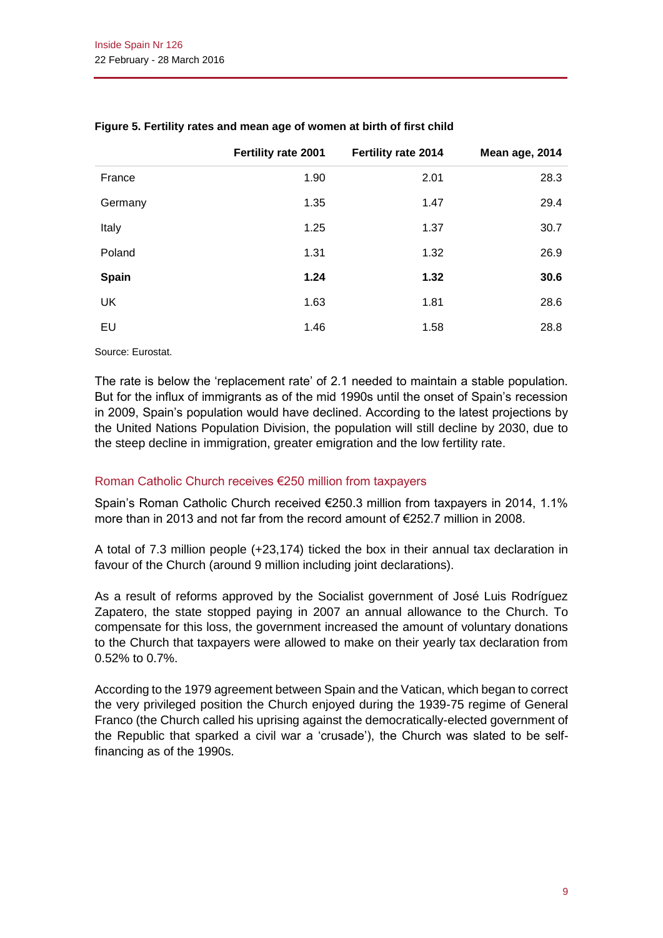|              | Fertility rate 2001 | Fertility rate 2014 | Mean age, 2014 |
|--------------|---------------------|---------------------|----------------|
| France       | 1.90                | 2.01                | 28.3           |
| Germany      | 1.35                | 1.47                | 29.4           |
| Italy        | 1.25                | 1.37                | 30.7           |
| Poland       | 1.31                | 1.32                | 26.9           |
| <b>Spain</b> | 1.24                | 1.32                | 30.6           |
| <b>UK</b>    | 1.63                | 1.81                | 28.6           |
| EU           | 1.46                | 1.58                | 28.8           |

#### **Figure 5. Fertility rates and mean age of women at birth of first child**

Source: Eurostat.

The rate is below the 'replacement rate' of 2.1 needed to maintain a stable population. But for the influx of immigrants as of the mid 1990s until the onset of Spain's recession in 2009, Spain's population would have declined. According to the latest projections by the United Nations Population Division, the population will still decline by 2030, due to the steep decline in immigration, greater emigration and the low fertility rate.

#### Roman Catholic Church receives €250 million from taxpayers

Spain's Roman Catholic Church received €250.3 million from taxpayers in 2014, 1.1% more than in 2013 and not far from the record amount of €252.7 million in 2008.

A total of 7.3 million people (+23,174) ticked the box in their annual tax declaration in favour of the Church (around 9 million including joint declarations).

As a result of reforms approved by the Socialist government of José Luis Rodríguez Zapatero, the state stopped paying in 2007 an annual allowance to the Church. To compensate for this loss, the government increased the amount of voluntary donations to the Church that taxpayers were allowed to make on their yearly tax declaration from 0.52% to 0.7%.

According to the 1979 agreement between Spain and the Vatican, which began to correct the very privileged position the Church enjoyed during the 1939-75 regime of General Franco (the Church called his uprising against the democratically-elected government of the Republic that sparked a civil war a 'crusade'), the Church was slated to be selffinancing as of the 1990s.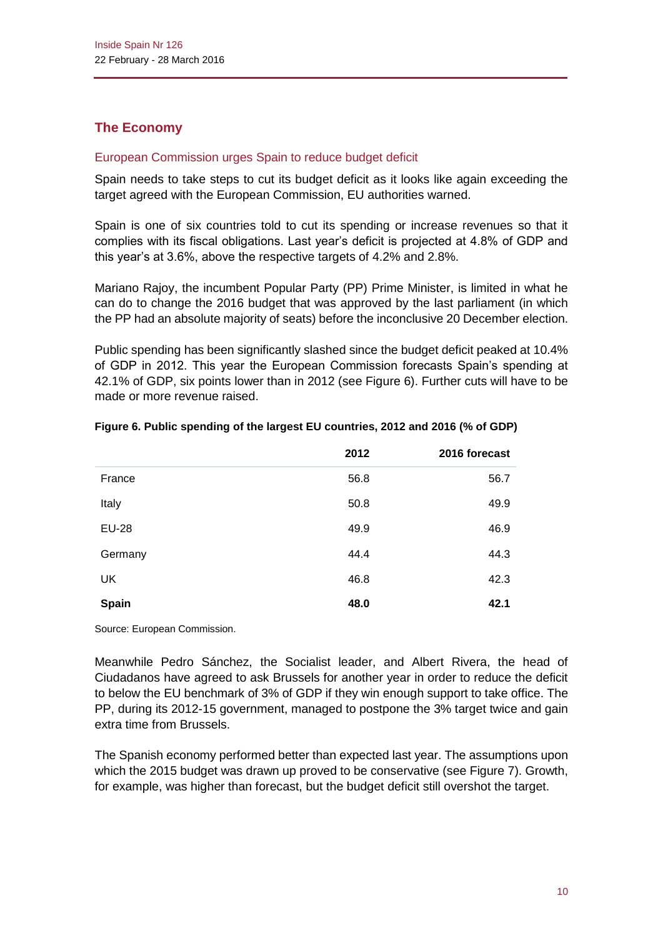# **The Economy**

## European Commission urges Spain to reduce budget deficit

Spain needs to take steps to cut its budget deficit as it looks like again exceeding the target agreed with the European Commission, EU authorities warned.

Spain is one of six countries told to cut its spending or increase revenues so that it complies with its fiscal obligations. Last year's deficit is projected at 4.8% of GDP and this year's at 3.6%, above the respective targets of 4.2% and 2.8%.

Mariano Rajoy, the incumbent Popular Party (PP) Prime Minister, is limited in what he can do to change the 2016 budget that was approved by the last parliament (in which the PP had an absolute majority of seats) before the inconclusive 20 December election.

Public spending has been significantly slashed since the budget deficit peaked at 10.4% of GDP in 2012. This year the European Commission forecasts Spain's spending at 42.1% of GDP, six points lower than in 2012 (see Figure 6). Further cuts will have to be made or more revenue raised.

|              | 2012 | 2016 forecast |
|--------------|------|---------------|
| France       | 56.8 | 56.7          |
| Italy        | 50.8 | 49.9          |
| <b>EU-28</b> | 49.9 | 46.9          |
| Germany      | 44.4 | 44.3          |
| <b>UK</b>    | 46.8 | 42.3          |
| <b>Spain</b> | 48.0 | 42.1          |

#### **Figure 6. Public spending of the largest EU countries, 2012 and 2016 (% of GDP)**

Source: European Commission.

Meanwhile Pedro Sánchez, the Socialist leader, and Albert Rivera, the head of Ciudadanos have agreed to ask Brussels for another year in order to reduce the deficit to below the EU benchmark of 3% of GDP if they win enough support to take office. The PP, during its 2012-15 government, managed to postpone the 3% target twice and gain extra time from Brussels.

The Spanish economy performed better than expected last year. The assumptions upon which the 2015 budget was drawn up proved to be conservative (see Figure 7). Growth, for example, was higher than forecast, but the budget deficit still overshot the target.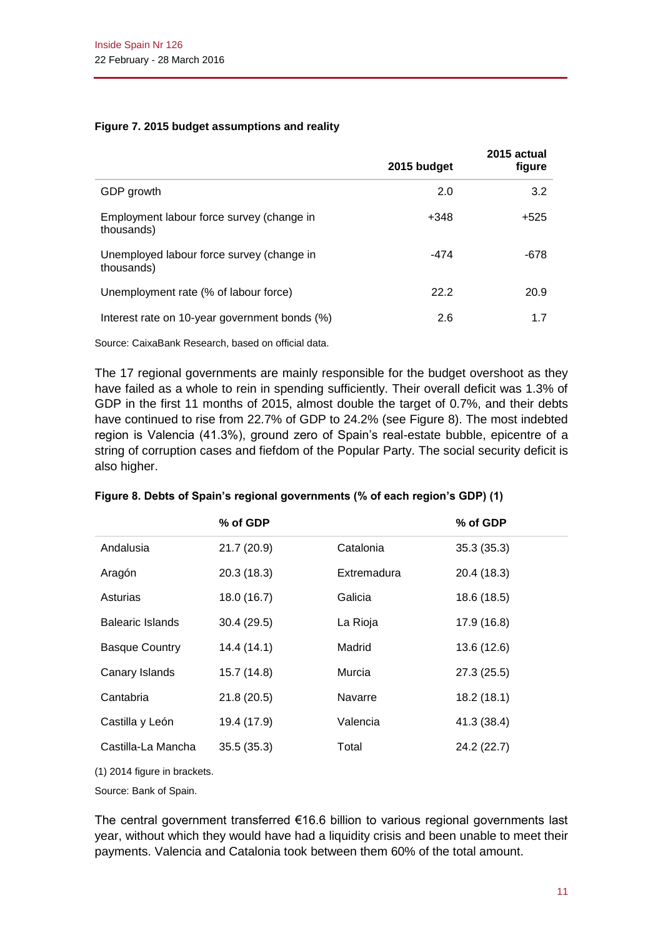#### **Figure 7. 2015 budget assumptions and reality**

|                                                         | 2015 budget | 2015 actual<br>figure |
|---------------------------------------------------------|-------------|-----------------------|
| GDP growth                                              | 2.0         | 3.2                   |
| Employment labour force survey (change in<br>thousands) | +348        | $+525$                |
| Unemployed labour force survey (change in<br>thousands) | -474        | $-678$                |
| Unemployment rate (% of labour force)                   | 22.2        | 20.9                  |
| Interest rate on 10-year government bonds (%)           | 2.6         | 1.7                   |
|                                                         |             |                       |

Source: CaixaBank Research, based on official data.

The 17 regional governments are mainly responsible for the budget overshoot as they have failed as a whole to rein in spending sufficiently. Their overall deficit was 1.3% of GDP in the first 11 months of 2015, almost double the target of 0.7%, and their debts have continued to rise from 22.7% of GDP to 24.2% (see Figure 8). The most indebted region is Valencia (41.3%), ground zero of Spain's real-estate bubble, epicentre of a string of corruption cases and fiefdom of the Popular Party. The social security deficit is also higher.

|                         | % of GDP    |             | % of GDP    |
|-------------------------|-------------|-------------|-------------|
| Andalusia               | 21.7 (20.9) | Catalonia   | 35.3(35.3)  |
| Aragón                  | 20.3(18.3)  | Extremadura | 20.4 (18.3) |
| Asturias                | 18.0 (16.7) | Galicia     | 18.6 (18.5) |
| <b>Balearic Islands</b> | 30.4 (29.5) | La Rioja    | 17.9 (16.8) |
| <b>Basque Country</b>   | 14.4 (14.1) | Madrid      | 13.6 (12.6) |
| Canary Islands          | 15.7 (14.8) | Murcia      | 27.3(25.5)  |
| Cantabria               | 21.8(20.5)  | Navarre     | 18.2(18.1)  |
| Castilla y León         | 19.4 (17.9) | Valencia    | 41.3 (38.4) |
| Castilla-La Mancha      | 35.5(35.3)  | Total       | 24.2 (22.7) |
|                         |             |             |             |

**Figure 8. Debts of Spain's regional governments (% of each region's GDP) (1)**

(1) 2014 figure in brackets.

Source: Bank of Spain.

The central government transferred €16.6 billion to various regional governments last year, without which they would have had a liquidity crisis and been unable to meet their payments. Valencia and Catalonia took between them 60% of the total amount.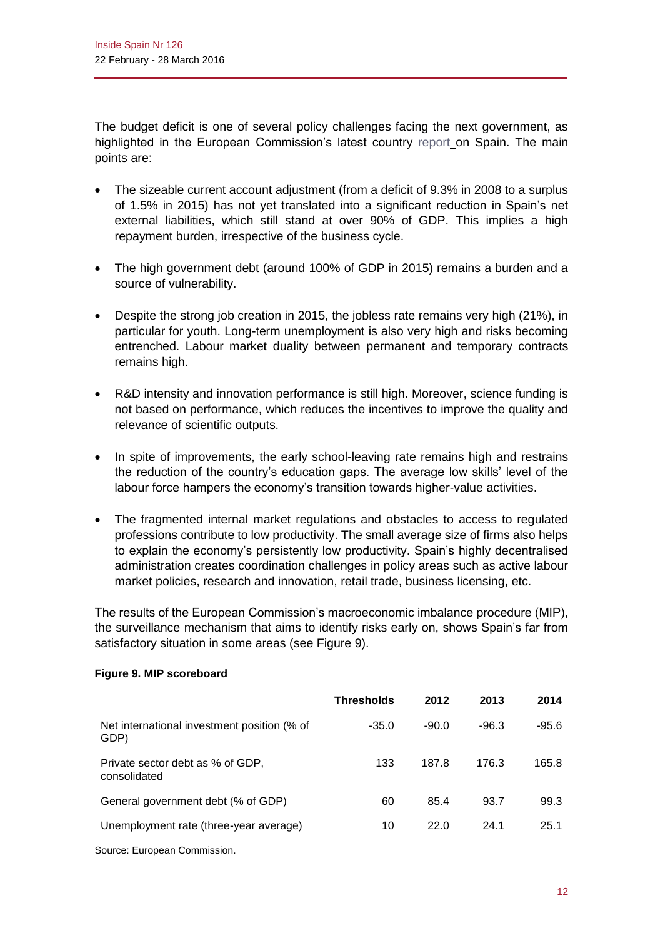The budget deficit is one of several policy challenges facing the next government, as highlighted in the European Commission's latest country [report](http://ec.europa.eu/europe2020/pdf/csr2016/cr2016_spain_en.pdf) on Spain. The main points are:

- The sizeable current account adjustment (from a deficit of 9.3% in 2008 to a surplus of 1.5% in 2015) has not yet translated into a significant reduction in Spain's net external liabilities, which still stand at over 90% of GDP. This implies a high repayment burden, irrespective of the business cycle.
- The high government debt (around 100% of GDP in 2015) remains a burden and a source of vulnerability.
- Despite the strong job creation in 2015, the jobless rate remains very high (21%), in particular for youth. Long-term unemployment is also very high and risks becoming entrenched. Labour market duality between permanent and temporary contracts remains high.
- R&D intensity and innovation performance is still high. Moreover, science funding is not based on performance, which reduces the incentives to improve the quality and relevance of scientific outputs.
- In spite of improvements, the early school-leaving rate remains high and restrains the reduction of the country's education gaps. The average low skills' level of the labour force hampers the economy's transition towards higher-value activities.
- The fragmented internal market regulations and obstacles to access to regulated professions contribute to low productivity. The small average size of firms also helps to explain the economy's persistently low productivity. Spain's highly decentralised administration creates coordination challenges in policy areas such as active labour market policies, research and innovation, retail trade, business licensing, etc.

The results of the European Commission's macroeconomic imbalance procedure (MIP), the surveillance mechanism that aims to identify risks early on, shows Spain's far from satisfactory situation in some areas (see Figure 9).

|                                                     | <b>Thresholds</b> | 2012    | 2013    | 2014    |
|-----------------------------------------------------|-------------------|---------|---------|---------|
| Net international investment position (% of<br>GDP) | $-35.0$           | $-90.0$ | $-96.3$ | $-95.6$ |
| Private sector debt as % of GDP,<br>consolidated    | 133               | 187.8   | 176.3   | 165.8   |
| General government debt (% of GDP)                  | 60                | 85.4    | 93.7    | 99.3    |
| Unemployment rate (three-year average)              | 10                | 22.0    | 24.1    | 25.1    |

#### **Figure 9. MIP scoreboard**

Source: European Commission.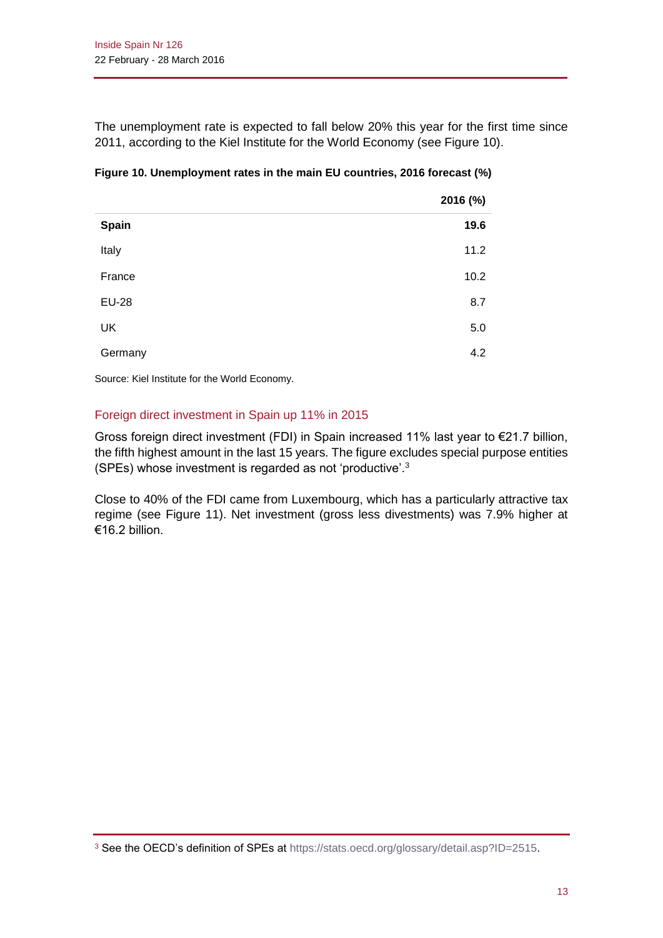The unemployment rate is expected to fall below 20% this year for the first time since 2011, according to the Kiel Institute for the World Economy (see Figure 10).

|              | 2016 (%) |
|--------------|----------|
| Spain        | 19.6     |
| Italy        | 11.2     |
| France       | 10.2     |
| <b>EU-28</b> | 8.7      |
| <b>UK</b>    | 5.0      |
| Germany      | 4.2      |

## **Figure 10. Unemployment rates in the main EU countries, 2016 forecast (%)**

Source: Kiel Institute for the World Economy.

# Foreign direct investment in Spain up 11% in 2015

Gross foreign direct investment (FDI) in Spain increased 11% last year to €21.7 billion, the fifth highest amount in the last 15 years. The figure excludes special purpose entities (SPEs) whose investment is regarded as not 'productive'.<sup>3</sup>

Close to 40% of the FDI came from Luxembourg, which has a particularly attractive tax regime (see Figure 11). Net investment (gross less divestments) was 7.9% higher at €16.2 billion.

<sup>&</sup>lt;sup>3</sup> See the OECD's definition of SPEs at [https://stats.oecd.org/glossary/detail.asp?ID=2515.](https://stats.oecd.org/glossary/detail.asp?ID=2515)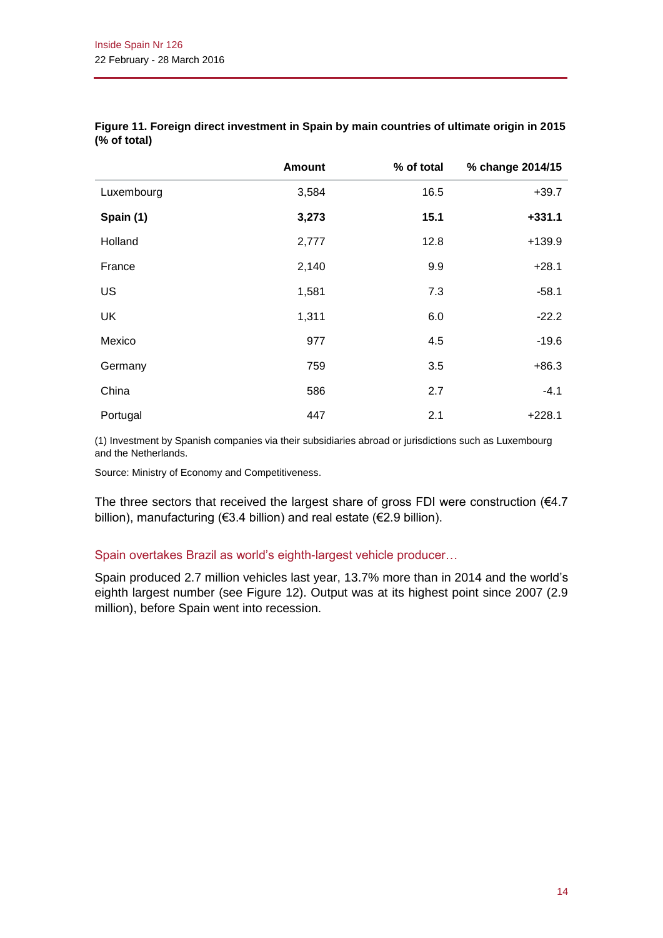|            | <b>Amount</b> | % of total | % change 2014/15 |
|------------|---------------|------------|------------------|
| Luxembourg | 3,584         | 16.5       | $+39.7$          |
| Spain (1)  | 3,273         | 15.1       | $+331.1$         |
| Holland    | 2,777         | 12.8       | $+139.9$         |
| France     | 2,140         | 9.9        | $+28.1$          |
| US         | 1,581         | 7.3        | $-58.1$          |
| <b>UK</b>  | 1,311         | 6.0        | $-22.2$          |
| Mexico     | 977           | 4.5        | $-19.6$          |
| Germany    | 759           | 3.5        | $+86.3$          |
| China      | 586           | 2.7        | $-4.1$           |
| Portugal   | 447           | 2.1        | $+228.1$         |

#### **Figure 11. Foreign direct investment in Spain by main countries of ultimate origin in 2015 (% of total)**

(1) Investment by Spanish companies via their subsidiaries abroad or jurisdictions such as Luxembourg and the Netherlands.

Source: Ministry of Economy and Competitiveness.

The three sectors that received the largest share of gross FDI were construction ( $64.7$ ) billion), manufacturing (€3.4 billion) and real estate (€2.9 billion).

#### Spain overtakes Brazil as world's eighth-largest vehicle producer…

Spain produced 2.7 million vehicles last year, 13.7% more than in 2014 and the world's eighth largest number (see Figure 12). Output was at its highest point since 2007 (2.9 million), before Spain went into recession.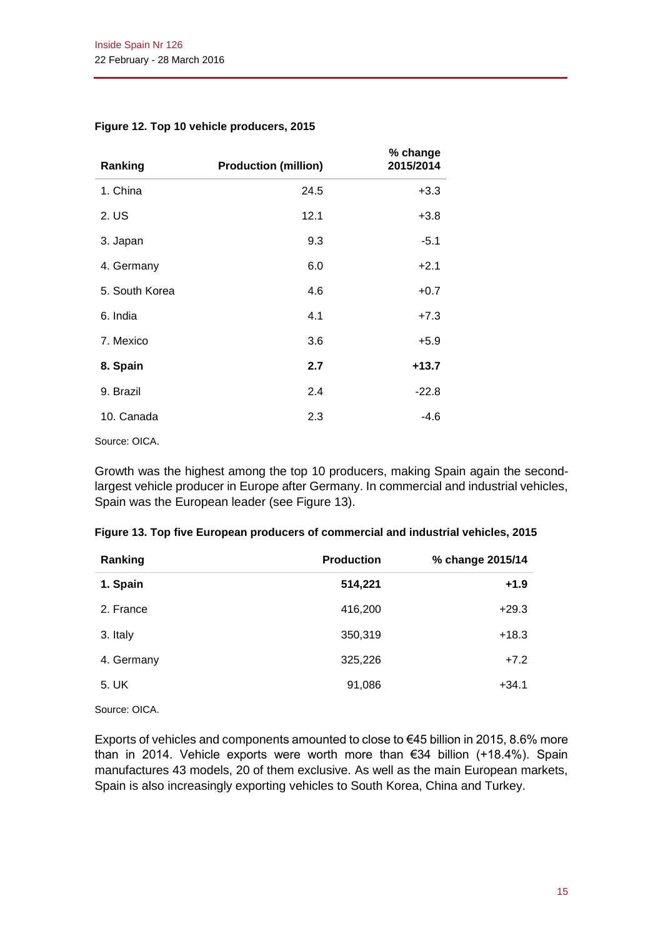| Ranking        | <b>Production (million)</b> | % change<br>2015/2014 |
|----------------|-----------------------------|-----------------------|
| 1. China       | 24.5                        | $+3.3$                |
| 2. US          | 12.1                        | $+3.8$                |
| 3. Japan       | 9.3                         | $-5.1$                |
| 4. Germany     | 6.0                         | $+2.1$                |
| 5. South Korea | 4.6                         | $+0.7$                |
| 6. India       | 4.1                         | $+7.3$                |
| 7. Mexico      | 3.6                         | $+5.9$                |
| 8. Spain       | 2.7                         | $+13.7$               |
| 9. Brazil      | 2.4                         | $-22.8$               |
| 10. Canada     | 2.3                         | $-4.6$                |

#### **Figure 12. Top 10 vehicle producers, 2015**

Source: OICA.

Growth was the highest among the top 10 producers, making Spain again the secondlargest vehicle producer in Europe after Germany. In commercial and industrial vehicles, Spain was the European leader (see Figure 13).

| Ranking    | <b>Production</b> | % change 2015/14 |
|------------|-------------------|------------------|
| 1. Spain   | 514,221           | $+1.9$           |
| 2. France  | 416,200           | $+29.3$          |
| 3. Italy   | 350,319           | $+18.3$          |
| 4. Germany | 325,226           | $+7.2$           |
| 5. UK      | 91,086            | $+34.1$          |

#### **Figure 13. Top five European producers of commercial and industrial vehicles, 2015**

Source: OICA.

Exports of vehicles and components amounted to close to €45 billion in 2015, 8.6% more than in 2014. Vehicle exports were worth more than €34 billion (+18.4%). Spain manufactures 43 models, 20 of them exclusive. As well as the main European markets, Spain is also increasingly exporting vehicles to South Korea, China and Turkey.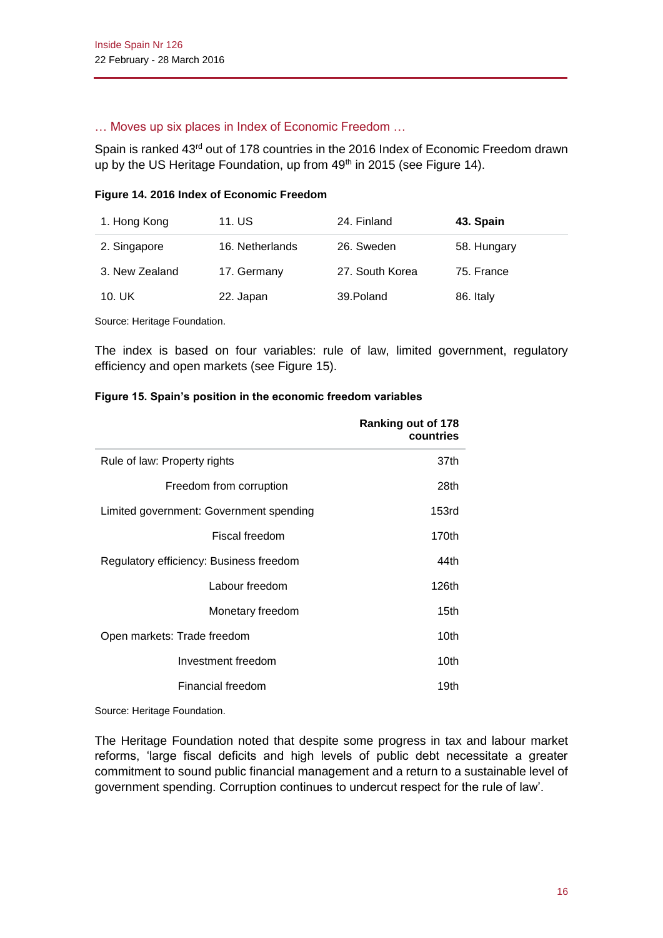#### … Moves up six places in Index of Economic Freedom …

Spain is ranked 43<sup>rd</sup> out of 178 countries in the 2016 Index of Economic Freedom drawn up by the US Heritage Foundation, up from 49<sup>th</sup> in 2015 (see Figure 14).

#### **Figure 14. 2016 Index of Economic Freedom**

| 1. Hong Kong   | 11. US          | 24. Finland     | 43. Spain   |
|----------------|-----------------|-----------------|-------------|
| 2. Singapore   | 16. Netherlands | 26. Sweden      | 58. Hungary |
| 3. New Zealand | 17. Germany     | 27. South Korea | 75. France  |
| 10. UK         | 22. Japan       | 39. Poland      | 86. Italy   |

Source: Heritage Foundation.

The index is based on four variables: rule of law, limited government, regulatory efficiency and open markets (see Figure 15).

#### **Figure 15. Spain's position in the economic freedom variables**

|                                         | Ranking out of 178<br>countries |
|-----------------------------------------|---------------------------------|
| Rule of law: Property rights            | 37th                            |
| Freedom from corruption                 | 28th                            |
| Limited government: Government spending | 153 <sub>rd</sub>               |
| Fiscal freedom                          | 170th                           |
| Regulatory efficiency: Business freedom | 44th                            |
| Labour freedom                          | 126th                           |
| Monetary freedom                        | 15th                            |
| Open markets: Trade freedom             | 10th                            |
| Investment freedom                      | 10th                            |
| Financial freedom                       | 19th                            |

Source: Heritage Foundation.

The Heritage Foundation noted that despite some progress in tax and labour market reforms, 'large fiscal deficits and high levels of public debt necessitate a greater commitment to sound public financial management and a return to a sustainable level of government spending. Corruption continues to undercut respect for the rule of law'.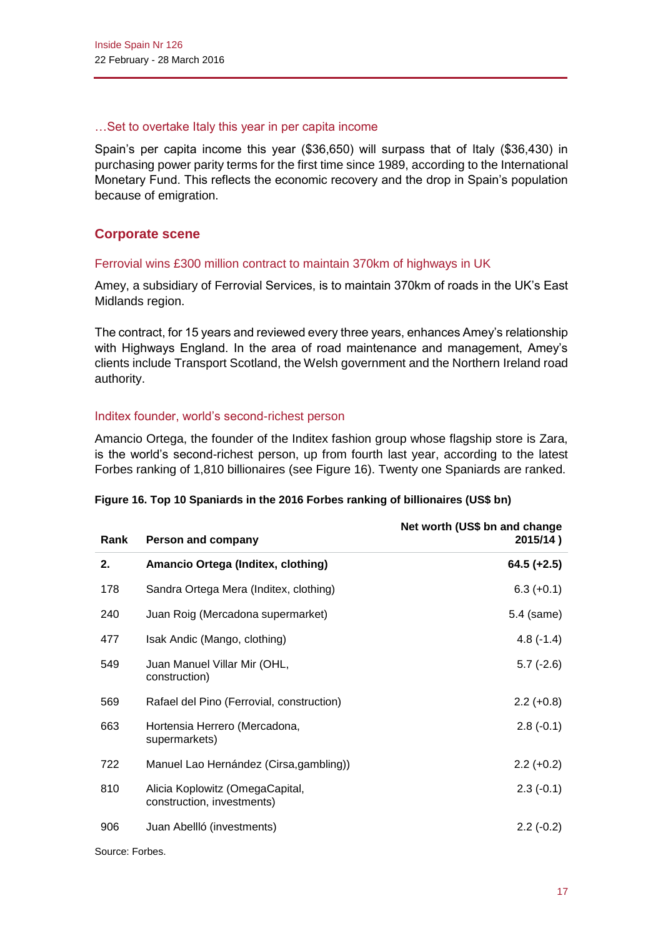#### …Set to overtake Italy this year in per capita income

Spain's per capita income this year (\$36,650) will surpass that of Italy (\$36,430) in purchasing power parity terms for the first time since 1989, according to the International Monetary Fund. This reflects the economic recovery and the drop in Spain's population because of emigration.

# **Corporate scene**

#### Ferrovial wins £300 million contract to maintain 370km of highways in UK

Amey, a subsidiary of Ferrovial Services, is to maintain 370km of roads in the UK's East Midlands region.

The contract, for 15 years and reviewed every three years, enhances Amey's relationship with Highways England. In the area of road maintenance and management, Amey's clients include Transport Scotland, the Welsh government and the Northern Ireland road authority.

# Inditex founder, world's second-richest person

Amancio Ortega, the founder of the Inditex fashion group whose flagship store is Zara, is the world's second-richest person, up from fourth last year, according to the latest Forbes ranking of 1,810 billionaires (see Figure 16). Twenty one Spaniards are ranked.

| Rank | Person and company                                            | Net worth (US\$ bn and change<br>2015/14) |
|------|---------------------------------------------------------------|-------------------------------------------|
| 2.   | Amancio Ortega (Inditex, clothing)                            | $64.5 (+2.5)$                             |
| 178  | Sandra Ortega Mera (Inditex, clothing)                        | $6.3 (+0.1)$                              |
| 240  | Juan Roig (Mercadona supermarket)                             | 5.4 (same)                                |
| 477  | Isak Andic (Mango, clothing)                                  | $4.8(-1.4)$                               |
| 549  | Juan Manuel Villar Mir (OHL,<br>construction)                 | $5.7(-2.6)$                               |
| 569  | Rafael del Pino (Ferrovial, construction)                     | $2.2 (+0.8)$                              |
| 663  | Hortensia Herrero (Mercadona,<br>supermarkets)                | $2.8(-0.1)$                               |
| 722  | Manuel Lao Hernández (Cirsa, gambling))                       | $2.2 (+0.2)$                              |
| 810  | Alicia Koplowitz (OmegaCapital,<br>construction, investments) | $2.3(-0.1)$                               |
| 906  | Juan Abellló (investments)                                    | $2.2(-0.2)$                               |

#### **Figure 16. Top 10 Spaniards in the 2016 Forbes ranking of billionaires (US\$ bn)**

Source: Forbes.